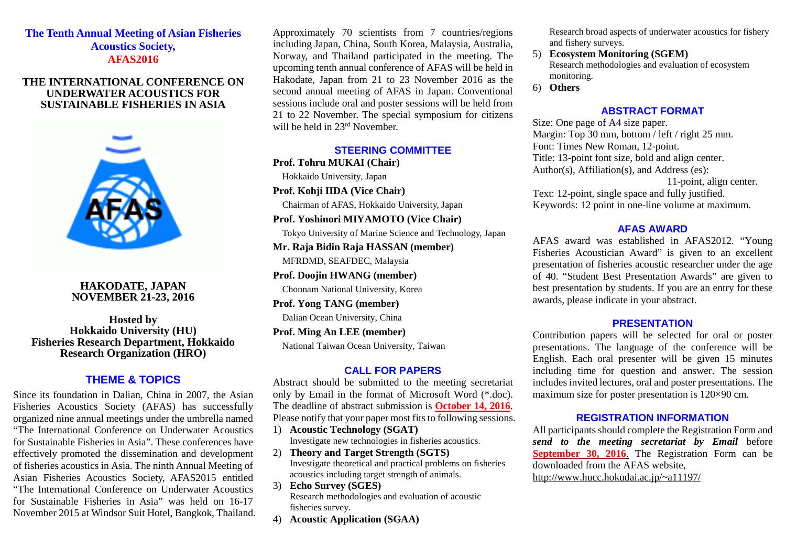### **The Tenth Annual Meeting of Asian Fisheries Acoustics Society, AFAS2016**

#### **THE INTERNATIONAL CONFERENCE ON UNDERWATER ACOUSTICS FOR SUSTAINABLE FISHERIES IN ASIA**



**HAKODATE, JAPAN NOVEMBER 21-23, 2016**

**Hosted by Hokkaido University (HU) Fisheries Research Department, Hokkaido Research Organization (HRO)**

# **THEME & TOPICS**

Since its foundation in Dalian, China in 2007, the Asian Fisheries Acoustics Society (AFAS) has successfully organized nine annual meetings under the umbrella named "The International Conference on Underwater Acoustics for Sustainable Fisheries in Asia". These conferences have effectively promoted the dissemination and development of fisheries acoustics in Asia. The ninth Annual Meeting of Asian Fisheries Acoustics Society, AFAS2015 entitled "The International Conference on Underwater Acoustics for Sustainable Fisheries in Asia" was held on 16-17 November 2015 at Windsor Suit Hotel, Bangkok, Thailand.

Approximately 70 scientists from 7 countries/regions including Japan, China, South Korea, Malaysia, Australia, Norway, and Thailand participated in the meeting. The upcoming tenth annual conference of AFAS will be held in Hakodate, Japan from 21 to 23 November 2016 as the second annual meeting of AFAS in Japan. Conventional sessions include oral and poster sessions will be held from 21 to 22 November. The special symposium for citizens will be held in 23<sup>rd</sup> November.

#### **STEERING COMMITTEE**

**Prof. Tohru MUKAI (Chair)**

Hokkaido University, Japan

**Prof. Kohji IIDA (Vice Chair)**

Chairman of AFAS, Hokkaido University, Japan

**Prof. Yoshinori MIYAMOTO (Vice Chair)**

Tokyo University of Marine Science and Technology, Japan

**Mr. Raja Bidin Raja HASSAN (member)** MFRDMD, SEAFDEC, Malaysia

**Prof. Doojin HWANG (member)**

Chonnam National University, Korea

**Prof. Yong TANG (member)**

Dalian Ocean University, China

**Prof. Ming An LEE (member)** National Taiwan Ocean University, Taiwan

#### **CALL FOR PAPERS**

Abstract should be submitted to the meeting secretariat only by Email in the format of Microsoft Word (\*.doc). The deadline of abstract submission is **October 14, 2016**. Please notify that your paper most fits to following sessions.

- 1) **Acoustic Technology (SGAT)** Investigate new technologies in fisheries acoustics.
- 2) **Theory and Target Strength (SGTS)** Investigate theoretical and practical problems on fisheries acoustics including target strength of animals.
- 3) **Echo Survey (SGES)** Research methodologies and evaluation of acoustic fisheries survey.
- 4) **Acoustic Application (SGAA)**

Research broad aspects of underwater acoustics for fishery and fishery surveys.

- 5) **Ecosystem Monitoring (SGEM)** Research methodologies and evaluation of ecosystem monitoring.
- 6) **Others**

#### **ABSTRACT FORMAT**

Size: One page of A4 size paper. Margin: Top 30 mm, bottom / left / right 25 mm. Font: Times New Roman, 12-point. Title: 13-point font size, bold and align center. Author(s), Affiliation(s), and Address (es): 11-point, align center. Text: 12-point, single space and fully justified. Keywords: 12 point in one-line volume at maximum.

#### **AFAS AWARD**

AFAS award was established in AFAS2012. "Young Fisheries Acoustician Award" is given to an excellent presentation of fisheries acoustic researcher under the age of 40. "Student Best Presentation Awards" are given to best presentation by students. If you are an entry for these awards, please indicate in your abstract.

#### **PRESENTATION**

Contribution papers will be selected for oral or poster presentations. The language of the conference will be English. Each oral presenter will be given 15 minutes including time for question and answer. The session includes invited lectures, oral and poster presentations. The maximum size for poster presentation is 120×90 cm.

#### **REGISTRATION INFORMATION**

All participants should complete the Registration Form and *send to the meeting secretariat by Email* before **September 30, 2016**. The Registration Form can be downloaded from the AFAS website, http://www.hucc.hokudai.ac.jp/~a11197/